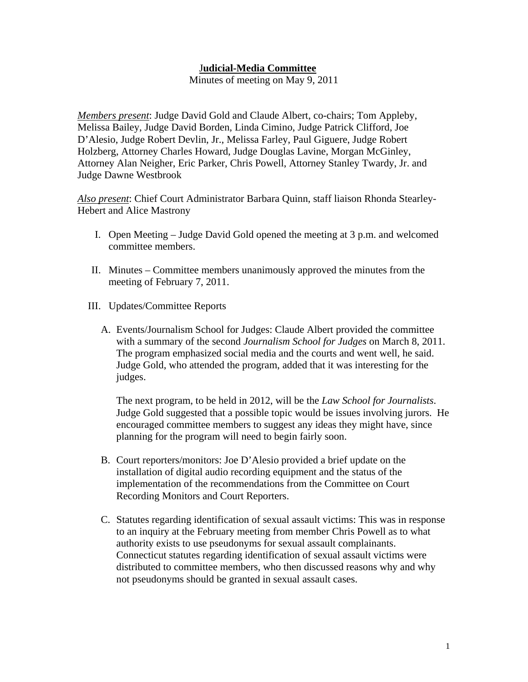## J**udicial-Media Committee**

Minutes of meeting on May 9, 2011

*Members present*: Judge David Gold and Claude Albert, co-chairs; Tom Appleby, Melissa Bailey, Judge David Borden, Linda Cimino, Judge Patrick Clifford, Joe D'Alesio, Judge Robert Devlin, Jr., Melissa Farley, Paul Giguere, Judge Robert Holzberg, Attorney Charles Howard, Judge Douglas Lavine, Morgan McGinley, Attorney Alan Neigher, Eric Parker, Chris Powell, Attorney Stanley Twardy, Jr. and Judge Dawne Westbrook

*Also present*: Chief Court Administrator Barbara Quinn, staff liaison Rhonda Stearley-Hebert and Alice Mastrony

- I. Open Meeting Judge David Gold opened the meeting at 3 p.m. and welcomed committee members.
- II. Minutes Committee members unanimously approved the minutes from the meeting of February 7, 2011.
- III. Updates/Committee Reports
	- A. Events/Journalism School for Judges: Claude Albert provided the committee with a summary of the second *Journalism School for Judges* on March 8, 2011. The program emphasized social media and the courts and went well, he said. Judge Gold, who attended the program, added that it was interesting for the judges.

The next program, to be held in 2012, will be the *Law School for Journalists*. Judge Gold suggested that a possible topic would be issues involving jurors. He encouraged committee members to suggest any ideas they might have, since planning for the program will need to begin fairly soon.

- B. Court reporters/monitors: Joe D'Alesio provided a brief update on the installation of digital audio recording equipment and the status of the implementation of the recommendations from the Committee on Court Recording Monitors and Court Reporters.
- C. Statutes regarding identification of sexual assault victims: This was in response to an inquiry at the February meeting from member Chris Powell as to what authority exists to use pseudonyms for sexual assault complainants. Connecticut statutes regarding identification of sexual assault victims were distributed to committee members, who then discussed reasons why and why not pseudonyms should be granted in sexual assault cases.